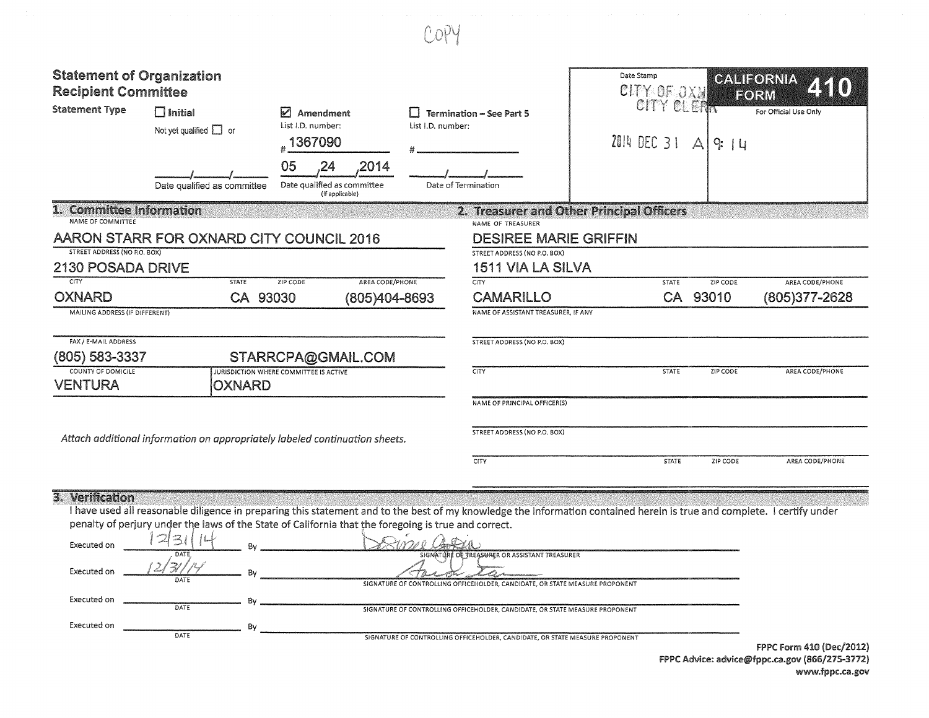| <b>Statement of Organization</b><br><b>Recipient Committee</b><br><b>Statement Type</b> | $\Box$ Initial<br>Not yet qualified $\Box$ or<br>Date qualified as committee | M<br>Amendment<br>List I.D. number:<br>1367090<br>05<br>2014<br>Date qualified as committee<br>(if applicable) | H<br>List I.D. number: | <b>Termination - See Part 5</b><br>Date of Termination | Date Stamp<br>CITY OF OXN<br>CITY CLERK<br>2014 DEC 31 | $\Delta$<br>9:14 | <b>GALIFORNIA</b><br>Z 50<br><b>FORM</b><br>For Official Use Only |
|-----------------------------------------------------------------------------------------|------------------------------------------------------------------------------|----------------------------------------------------------------------------------------------------------------|------------------------|--------------------------------------------------------|--------------------------------------------------------|------------------|-------------------------------------------------------------------|
| 1. Committee Information<br>NAME OF COMMITTEE                                           |                                                                              |                                                                                                                |                        | NAME OF TREASURER                                      | 2. Treasurer and Other Principal Officers              |                  |                                                                   |
|                                                                                         | AARON STARR FOR OXNARD CITY COUNCIL 2016                                     |                                                                                                                |                        | <b>DESIREE MARIE GRIFFIN</b>                           |                                                        |                  |                                                                   |
| STREET ADDRESS (NO P.O. BOX)                                                            |                                                                              |                                                                                                                |                        | STREET ADDRESS (NO P.O. BOX)                           |                                                        |                  |                                                                   |
| <b>2130 POSADA DRIVE</b>                                                                |                                                                              |                                                                                                                |                        | <b>1511 VIA LA SILVA</b>                               |                                                        |                  |                                                                   |
| CITY                                                                                    | <b>STATE</b>                                                                 | AREA CODE/PHONE<br>ZIP CODE                                                                                    |                        | <b>CITY</b>                                            | <b>STATE</b>                                           | ZIP CODE         | AREA CODE/PHONE                                                   |
| <b>OXNARD</b>                                                                           | CA 93030                                                                     | (805)404-8693                                                                                                  |                        | <b>CAMARILLO</b>                                       |                                                        | CA 93010         | (805)377-2628                                                     |
| MAILING ADDRESS (IF DIFFERENT)                                                          |                                                                              |                                                                                                                |                        | NAME OF ASSISTANT TREASURER, IF ANY                    |                                                        |                  |                                                                   |
| FAX / E-MAIL ADDRESS                                                                    |                                                                              |                                                                                                                |                        | <b>STREET ADDRESS (NO P.O. BOX)</b>                    |                                                        |                  |                                                                   |
| (805) 583-3337                                                                          |                                                                              | STARRCPA@GMAIL.COM                                                                                             |                        |                                                        |                                                        |                  |                                                                   |
| <b>COUNTY OF DOMICILE</b>                                                               |                                                                              | <b>JURISDICTION WHERE COMMITTEE IS ACTIVE</b>                                                                  |                        | <b>CITY</b>                                            | <b>STATE</b>                                           | ZIP CODE         | AREA CODE/PHONE                                                   |
| <b>VENTURA</b>                                                                          | <b>OXNARD</b>                                                                |                                                                                                                |                        |                                                        |                                                        |                  |                                                                   |
|                                                                                         |                                                                              |                                                                                                                |                        | NAME OF PRINCIPAL OFFICER(S)                           |                                                        |                  |                                                                   |
|                                                                                         | Attach additional information on appropriately labeled continuation sheets.  |                                                                                                                |                        | STREET ADDRESS (NO P.O. BOX)                           |                                                        |                  |                                                                   |
|                                                                                         |                                                                              |                                                                                                                |                        | CITY                                                   | <b>STATE</b>                                           | ZIP CODE         | AREA CODE/PHONE                                                   |

COPY

## 3. Verification

I have used all reasonable diligence in preparing this statement and to the best of my knowledge the information contained herein is true and complete. I certify under penalty of perjury under the laws of the State of California that the foregoing is true and correct.

| Executed on | , つ!っ        | Rv. |                                                                                                                               |                          |
|-------------|--------------|-----|-------------------------------------------------------------------------------------------------------------------------------|--------------------------|
| Executed on | DATE<br>DATE |     | SIGNATURE OF TREASURER OR ASSISTANT TREASURER<br>SIGNATURE OF CONTROLLING OFFICEHOLDER, CANDIDATE, OR STATE MEASURE PROPONENT |                          |
| Executed on | DATE         | Bv. | SIGNATURE OF CONTROLLING OFFICEHOLDER, CANDIDATE, OR STATE MEASURE PROPONENT                                                  |                          |
| Executed on | DATE         | Bv  | SIGNATURE OF CONTROLLING OFFICEHOLDER, CANDIDATE, OR STATE MEASURE PROPONENT                                                  |                          |
|             |              |     | the contract of the contract of the contract of the contract of the contract of the contract of the contract of               | FPPC Form 410 (Dec/2012) |

FPPC Advice: advice@fppc.ca.gov (866/275-3772) www.fppc.ca.gov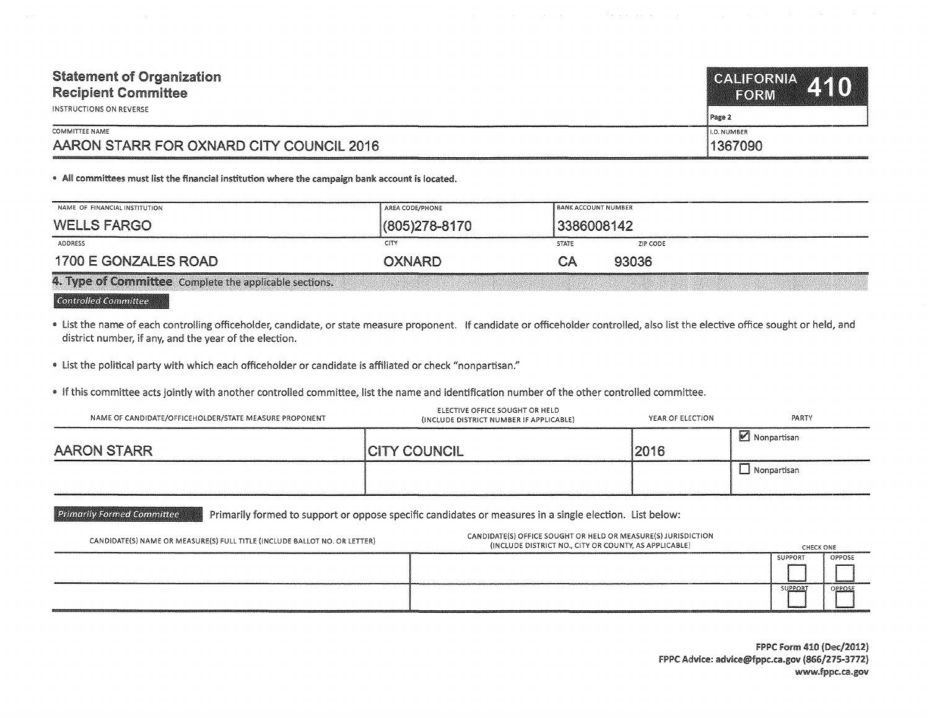| <b>Statement of Organization</b><br><b>Recipient Committee</b><br>INSTRUCTIONS ON REVERSE | CALIFORNIA 410<br>FORM<br>Page 2 |
|-------------------------------------------------------------------------------------------|----------------------------------|
| COMMITTEE NAME                                                                            | II.D. NUMBER                     |
| AARON STARR FOR OXNARD CITY COUNCIL 2016                                                  | 1367090                          |

## • All committees must list the financial institution where the campaign bank account is located.

| NAME OF FINANCIAL INSTITUTION                      | AREA CODE/PHONE | <b>BANK ACCOUNT NUMBER</b> |
|----------------------------------------------------|-----------------|----------------------------|
| <b>WELLS FARGO</b>                                 | (805)278-8170   | 3386008142                 |
| ADDRESS                                            | CITY            | STATE<br>ZIP CODE          |
| 1700 E GONZALES ROAD                               | OXNARD          | 93036<br>CΑ                |
| <b>STANDARD STATES</b><br>All and Control and Con- |                 |                            |

4. Type of Committee Complete the applicable sections.

## Controlled Committee

- " list the name of each controlling officeholder, candidate, or state measure proponent. If candidate or officeholder controlled, also list the elective office sought or held, and district number, if any, and the year of the election.
- list the political party with which each officeholder or candidate is affiliated or check "nonpartisan."
- . If this committee acts jointly with another controlled committee, list the name and identification number of the other controlled committee.

| NAME OF CANDIDATE/OFFICEHOLDER/STATE MEASURE PROPONENT | ELECTIVE OFFICE SOUGHT OR HELD<br>(INCLUDE DISTRICT NUMBER IF APPLICABLE) | YEAR OF ELECTION | PARTY       |
|--------------------------------------------------------|---------------------------------------------------------------------------|------------------|-------------|
| AARON STARR                                            | <b>CITY COUNCIL</b>                                                       | 2016             | Nonpartisan |
|                                                        |                                                                           |                  | Nonpartisan |

Primarily Formed Committee Primarily formed to support or oppose specific candidates or measures in a single election. List below:

| CANDIDATE(S) NAME OR MEASURE(S) FULL TITLE (INCLUDE BALLOT NO. OR LETTER) | CANDIDATE(S) OFFICE SOUGHT OR HELD OR MEASURE(S) JURISDICTION<br>(INCLUDE DISTRICT NO., CITY OR COUNTY, AS APPLICABLE) | CHECK ONE |        |
|---------------------------------------------------------------------------|------------------------------------------------------------------------------------------------------------------------|-----------|--------|
|                                                                           |                                                                                                                        | SUPPORT   | OPPOSE |
|                                                                           |                                                                                                                        |           |        |
|                                                                           |                                                                                                                        | SUPPOR'   | OPPOSE |
|                                                                           | h handlingidad verd var andra med av den med var menne en andre med av den med av den andre med andre                  |           |        |

FPPC Form 410 (Dec/2012) FPPC Advice: advice@fppc.ca.gov (866/275-3772) www.fppc.ca.gov